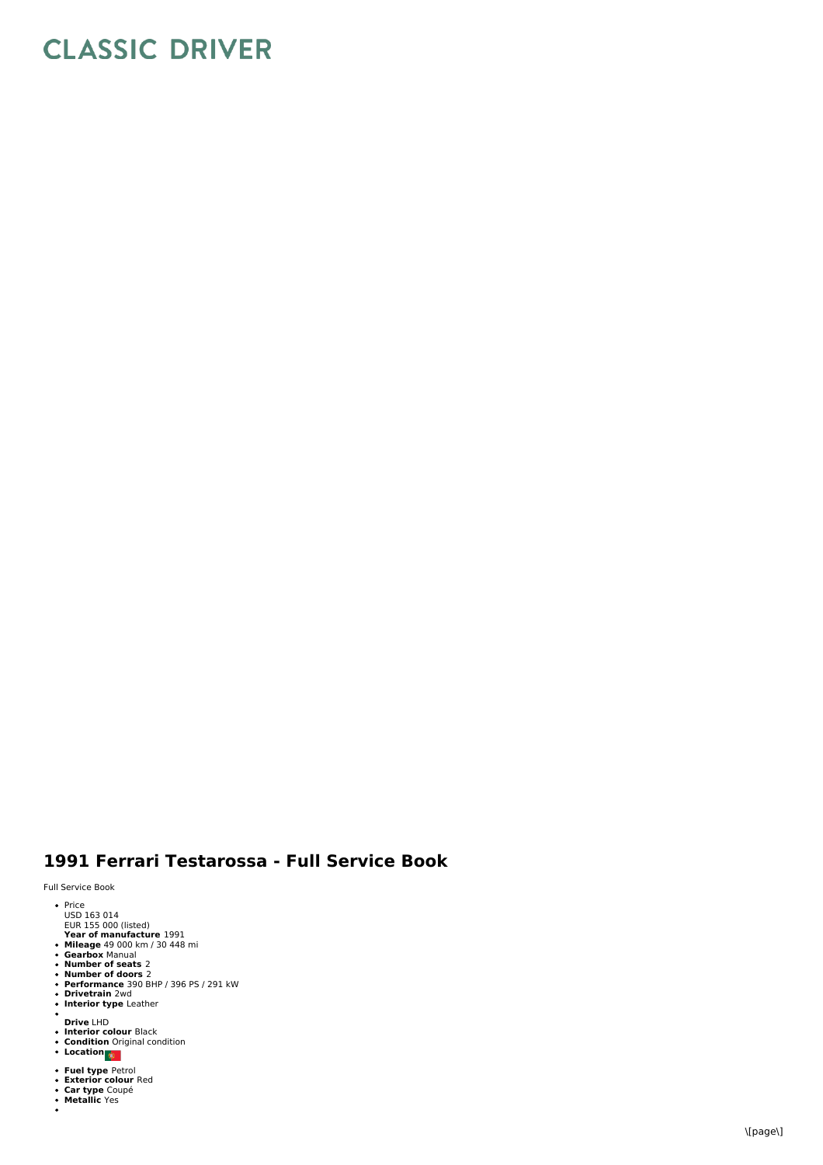## **CLASSIC DRIVER**

## 1991 Ferrari Testarossa - Full Service Book

Full Service Book

- 
- Price<br>USD 163 014<br>EUR 155 000 (listed)
- 
- 
- 
- 
- Year of manufacture 1991<br>Mileage 49 000 km / 30 448 mi<br>Gearbox Manual<br>Number of seats 2<br>Number of doors 2<br>Performance 390 BHP / 396 PS / 291 kW<br>Drivetrain 2wd<br>Interior type Leather
- 
- **Interior type** Leather
- **D riv e** L H D
- **lnterior colour** Black<br>**Condition** Original condition<br>**Location**
- 
- 
- **Fuel type** Petrol<br>Exterior colour Red<br>Car type Coupé<br>Metallic Yes
- 
-